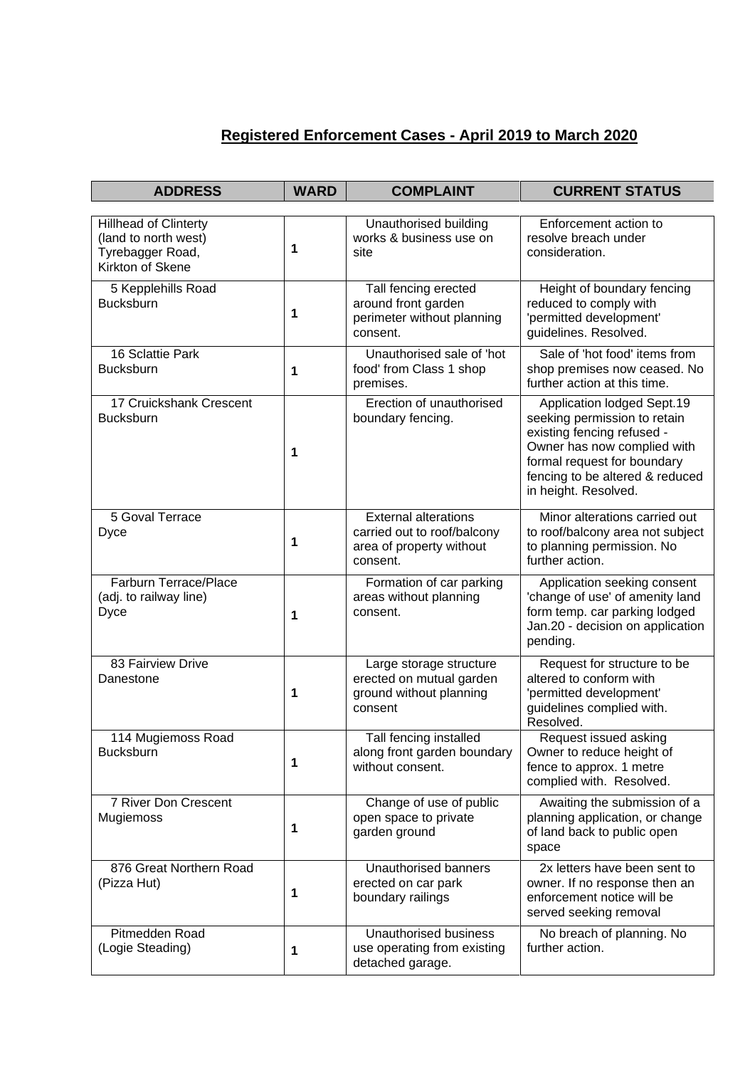## **Registered Enforcement Cases - April 2019 to March 2020**

| <b>ADDRESS</b>                                               | <b>WARD</b> | <b>COMPLAINT</b>                                                                                   | <b>CURRENT STATUS</b>                                                                                                                                                                                             |
|--------------------------------------------------------------|-------------|----------------------------------------------------------------------------------------------------|-------------------------------------------------------------------------------------------------------------------------------------------------------------------------------------------------------------------|
| <b>Hillhead of Clinterty</b>                                 |             | Unauthorised building                                                                              | Enforcement action to                                                                                                                                                                                             |
| (land to north west)<br>Tyrebagger Road,<br>Kirkton of Skene | 1           | works & business use on<br>site                                                                    | resolve breach under<br>consideration.                                                                                                                                                                            |
| 5 Kepplehills Road<br><b>Bucksburn</b>                       | 1           | Tall fencing erected<br>around front garden<br>perimeter without planning<br>consent.              | Height of boundary fencing<br>reduced to comply with<br>'permitted development'<br>guidelines. Resolved.                                                                                                          |
| 16 Sclattie Park<br><b>Bucksburn</b>                         | 1           | Unauthorised sale of 'hot<br>food' from Class 1 shop<br>premises.                                  | Sale of 'hot food' items from<br>shop premises now ceased. No<br>further action at this time.                                                                                                                     |
| 17 Cruickshank Crescent<br><b>Bucksburn</b>                  | 1           | Erection of unauthorised<br>boundary fencing.                                                      | Application lodged Sept.19<br>seeking permission to retain<br>existing fencing refused -<br>Owner has now complied with<br>formal request for boundary<br>fencing to be altered & reduced<br>in height. Resolved. |
| 5 Goval Terrace<br>Dyce                                      | 1           | <b>External alterations</b><br>carried out to roof/balcony<br>area of property without<br>consent. | Minor alterations carried out<br>to roof/balcony area not subject<br>to planning permission. No<br>further action.                                                                                                |
| Farburn Terrace/Place<br>(adj. to railway line)<br>Dyce      | 1           | Formation of car parking<br>areas without planning<br>consent.                                     | Application seeking consent<br>'change of use' of amenity land<br>form temp. car parking lodged<br>Jan.20 - decision on application<br>pending.                                                                   |
| 83 Fairview Drive<br>Danestone                               | 1           | Large storage structure<br>erected on mutual garden<br>ground without planning<br>consent          | Request for structure to be<br>altered to conform with<br>'permitted development'<br>guidelines complied with.<br>Resolved.                                                                                       |
| 114 Mugiemoss Road<br>Bucksburn                              | 1           | Tall fencing installed<br>along front garden boundary<br>without consent.                          | Request issued asking<br>Owner to reduce height of<br>fence to approx. 1 metre<br>complied with. Resolved.                                                                                                        |
| 7 River Don Crescent<br>Mugiemoss                            | 1           | Change of use of public<br>open space to private<br>garden ground                                  | Awaiting the submission of a<br>planning application, or change<br>of land back to public open<br>space                                                                                                           |
| 876 Great Northern Road<br>(Pizza Hut)                       | 1           | Unauthorised banners<br>erected on car park<br>boundary railings                                   | 2x letters have been sent to<br>owner. If no response then an<br>enforcement notice will be<br>served seeking removal                                                                                             |
| Pitmedden Road<br>(Logie Steading)                           | 1           | Unauthorised business<br>use operating from existing<br>detached garage.                           | No breach of planning. No<br>further action.                                                                                                                                                                      |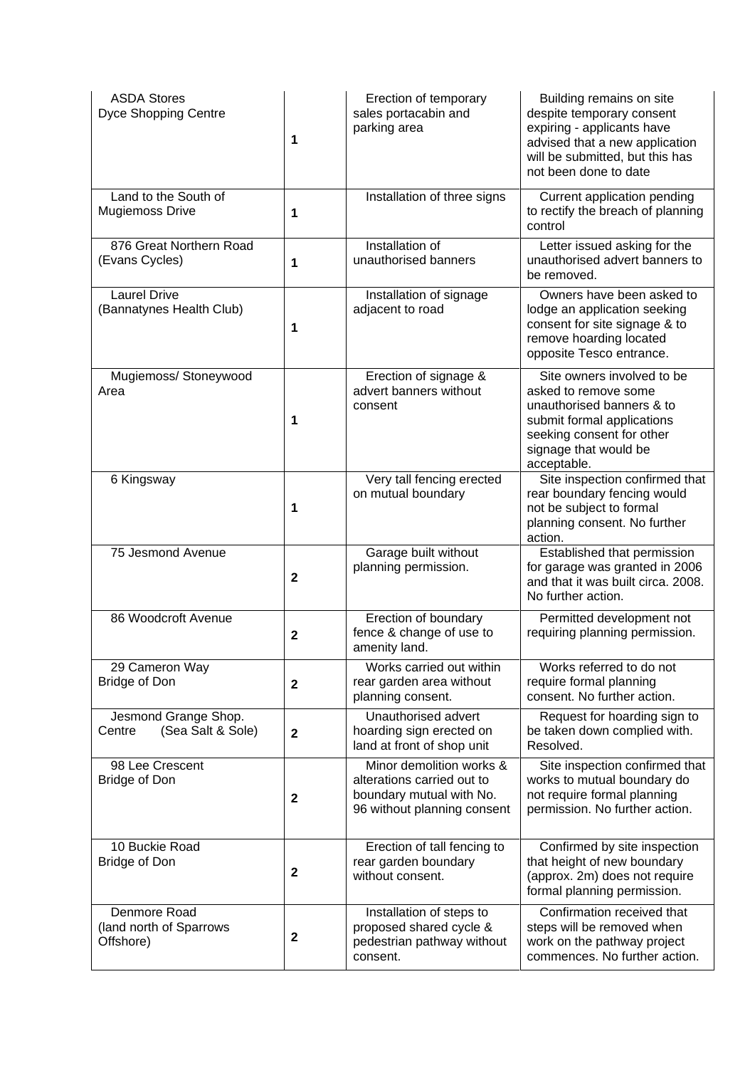| <b>ASDA Stores</b><br><b>Dyce Shopping Centre</b>    | 1            | Erection of temporary<br>sales portacabin and<br>parking area                                                     | Building remains on site<br>despite temporary consent<br>expiring - applicants have<br>advised that a new application<br>will be submitted, but this has<br>not been done to date  |
|------------------------------------------------------|--------------|-------------------------------------------------------------------------------------------------------------------|------------------------------------------------------------------------------------------------------------------------------------------------------------------------------------|
| Land to the South of<br><b>Mugiemoss Drive</b>       | 1            | Installation of three signs                                                                                       | Current application pending<br>to rectify the breach of planning<br>control                                                                                                        |
| 876 Great Northern Road<br>(Evans Cycles)            | 1            | Installation of<br>unauthorised banners                                                                           | Letter issued asking for the<br>unauthorised advert banners to<br>be removed.                                                                                                      |
| <b>Laurel Drive</b><br>(Bannatynes Health Club)      | 1            | Installation of signage<br>adjacent to road                                                                       | Owners have been asked to<br>lodge an application seeking<br>consent for site signage & to<br>remove hoarding located<br>opposite Tesco entrance.                                  |
| Mugiemoss/ Stoneywood<br>Area                        | 1            | Erection of signage &<br>advert banners without<br>consent                                                        | Site owners involved to be<br>asked to remove some<br>unauthorised banners & to<br>submit formal applications<br>seeking consent for other<br>signage that would be<br>acceptable. |
| 6 Kingsway                                           | 1            | Very tall fencing erected<br>on mutual boundary                                                                   | Site inspection confirmed that<br>rear boundary fencing would<br>not be subject to formal<br>planning consent. No further<br>action.                                               |
| 75 Jesmond Avenue                                    | $\mathbf{2}$ | Garage built without<br>planning permission.                                                                      | Established that permission<br>for garage was granted in 2006<br>and that it was built circa. 2008.<br>No further action.                                                          |
| 86 Woodcroft Avenue                                  | $\mathbf{2}$ | Erection of boundary<br>fence & change of use to<br>amenity land.                                                 | Permitted development not<br>requiring planning permission.                                                                                                                        |
| 29 Cameron Way<br>Bridge of Don                      | $\mathbf{2}$ | Works carried out within<br>rear garden area without<br>planning consent.                                         | Works referred to do not<br>require formal planning<br>consent. No further action.                                                                                                 |
| Jesmond Grange Shop.<br>(Sea Salt & Sole)<br>Centre  | $\mathbf{2}$ | Unauthorised advert<br>hoarding sign erected on<br>land at front of shop unit                                     | Request for hoarding sign to<br>be taken down complied with.<br>Resolved.                                                                                                          |
| 98 Lee Crescent<br>Bridge of Don                     | $\mathbf{2}$ | Minor demolition works &<br>alterations carried out to<br>boundary mutual with No.<br>96 without planning consent | Site inspection confirmed that<br>works to mutual boundary do<br>not require formal planning<br>permission. No further action.                                                     |
| 10 Buckie Road<br>Bridge of Don                      | $\mathbf{2}$ | Erection of tall fencing to<br>rear garden boundary<br>without consent.                                           | Confirmed by site inspection<br>that height of new boundary<br>(approx. 2m) does not require<br>formal planning permission.                                                        |
| Denmore Road<br>(land north of Sparrows<br>Offshore) | $\mathbf{2}$ | Installation of steps to<br>proposed shared cycle &<br>pedestrian pathway without<br>consent.                     | Confirmation received that<br>steps will be removed when<br>work on the pathway project<br>commences. No further action.                                                           |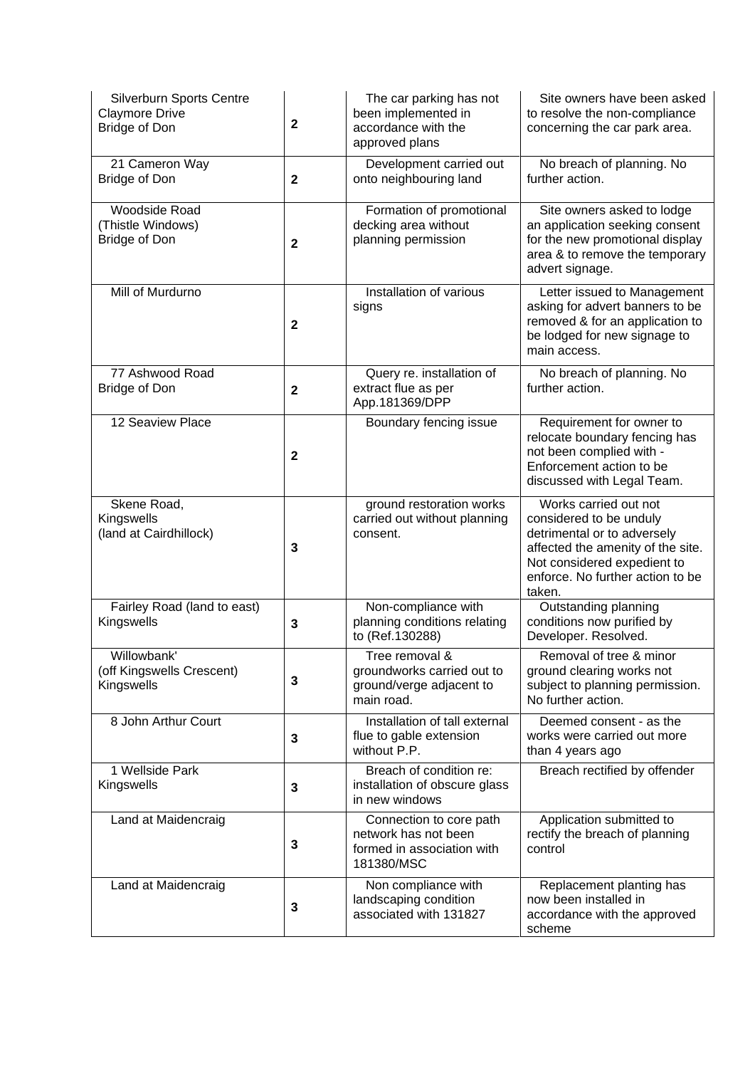| Silverburn Sports Centre<br><b>Claymore Drive</b><br><b>Bridge of Don</b> | $\mathbf{2}$ | The car parking has not<br>been implemented in<br>accordance with the<br>approved plans     | Site owners have been asked<br>to resolve the non-compliance<br>concerning the car park area.                                                                                                     |
|---------------------------------------------------------------------------|--------------|---------------------------------------------------------------------------------------------|---------------------------------------------------------------------------------------------------------------------------------------------------------------------------------------------------|
| 21 Cameron Way<br>Bridge of Don                                           | $\mathbf{2}$ | Development carried out<br>onto neighbouring land                                           | No breach of planning. No<br>further action.                                                                                                                                                      |
| Woodside Road<br>(Thistle Windows)<br>Bridge of Don                       | $\mathbf{2}$ | Formation of promotional<br>decking area without<br>planning permission                     | Site owners asked to lodge<br>an application seeking consent<br>for the new promotional display<br>area & to remove the temporary<br>advert signage.                                              |
| Mill of Murdurno                                                          | $\mathbf{2}$ | Installation of various<br>signs                                                            | Letter issued to Management<br>asking for advert banners to be<br>removed & for an application to<br>be lodged for new signage to<br>main access.                                                 |
| 77 Ashwood Road<br>Bridge of Don                                          | $\mathbf{2}$ | Query re. installation of<br>extract flue as per<br>App.181369/DPP                          | No breach of planning. No<br>further action.                                                                                                                                                      |
| 12 Seaview Place                                                          | $\mathbf{2}$ | Boundary fencing issue                                                                      | Requirement for owner to<br>relocate boundary fencing has<br>not been complied with -<br>Enforcement action to be<br>discussed with Legal Team.                                                   |
| Skene Road,<br>Kingswells<br>(land at Cairdhillock)                       | 3            | ground restoration works<br>carried out without planning<br>consent.                        | Works carried out not<br>considered to be unduly<br>detrimental or to adversely<br>affected the amenity of the site.<br>Not considered expedient to<br>enforce. No further action to be<br>taken. |
| Fairley Road (land to east)<br>Kingswells                                 | 3            | Non-compliance with<br>planning conditions relating<br>to (Ref.130288)                      | Outstanding planning<br>conditions now purified by<br>Developer. Resolved.                                                                                                                        |
| Willowbank'<br>(off Kingswells Crescent)<br>Kingswells                    | 3            | Tree removal &<br>groundworks carried out to<br>ground/verge adjacent to<br>main road.      | Removal of tree & minor<br>ground clearing works not<br>subject to planning permission.<br>No further action.                                                                                     |
| 8 John Arthur Court                                                       | 3            | Installation of tall external<br>flue to gable extension<br>without P.P.                    | Deemed consent - as the<br>works were carried out more<br>than 4 years ago                                                                                                                        |
| 1 Wellside Park<br>Kingswells                                             | 3            | Breach of condition re:<br>installation of obscure glass<br>in new windows                  | Breach rectified by offender                                                                                                                                                                      |
| Land at Maidencraig                                                       | 3            | Connection to core path<br>network has not been<br>formed in association with<br>181380/MSC | Application submitted to<br>rectify the breach of planning<br>control                                                                                                                             |
| Land at Maidencraig                                                       | 3            | Non compliance with<br>landscaping condition<br>associated with 131827                      | Replacement planting has<br>now been installed in<br>accordance with the approved<br>scheme                                                                                                       |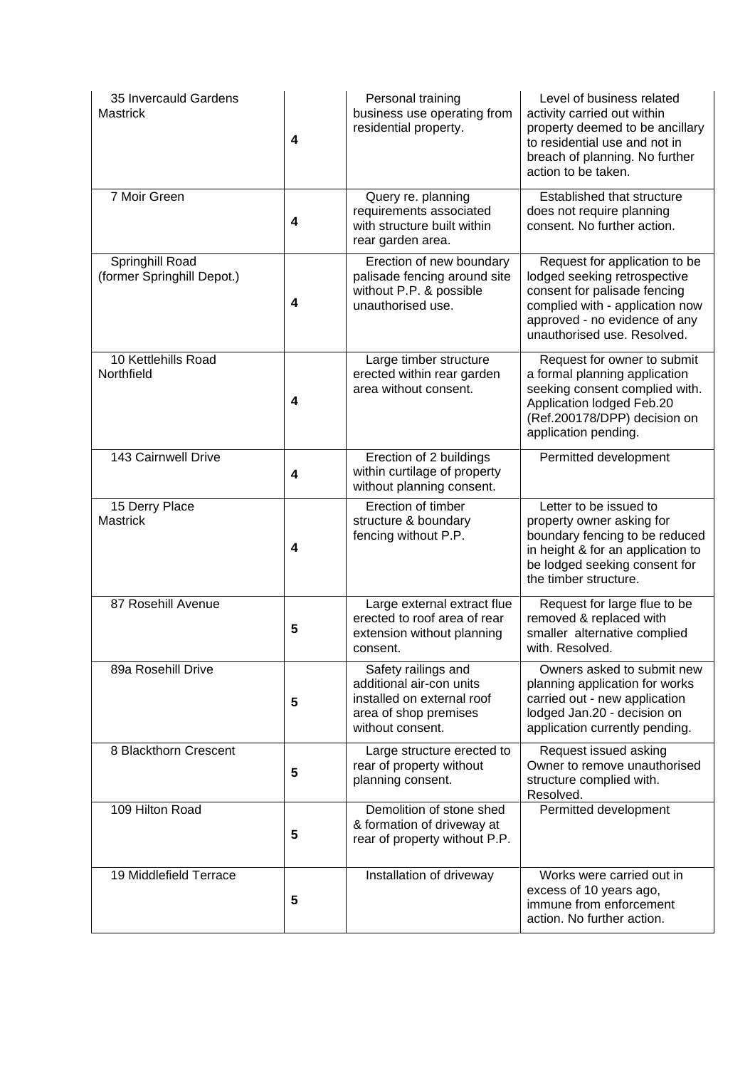| 35 Invercauld Gardens<br><b>Mastrick</b>      | $\boldsymbol{4}$ | Personal training<br>business use operating from<br>residential property.                                                  | Level of business related<br>activity carried out within<br>property deemed to be ancillary<br>to residential use and not in<br>breach of planning. No further<br>action to be taken.            |
|-----------------------------------------------|------------------|----------------------------------------------------------------------------------------------------------------------------|--------------------------------------------------------------------------------------------------------------------------------------------------------------------------------------------------|
| 7 Moir Green                                  | 4                | Query re. planning<br>requirements associated<br>with structure built within<br>rear garden area.                          | Established that structure<br>does not require planning<br>consent. No further action.                                                                                                           |
| Springhill Road<br>(former Springhill Depot.) | 4                | Erection of new boundary<br>palisade fencing around site<br>without P.P. & possible<br>unauthorised use.                   | Request for application to be<br>lodged seeking retrospective<br>consent for palisade fencing<br>complied with - application now<br>approved - no evidence of any<br>unauthorised use. Resolved. |
| 10 Kettlehills Road<br>Northfield             | 4                | Large timber structure<br>erected within rear garden<br>area without consent.                                              | Request for owner to submit<br>a formal planning application<br>seeking consent complied with.<br>Application lodged Feb.20<br>(Ref.200178/DPP) decision on<br>application pending.              |
| 143 Cairnwell Drive                           | 4                | Erection of 2 buildings<br>within curtilage of property<br>without planning consent.                                       | Permitted development                                                                                                                                                                            |
| 15 Derry Place<br><b>Mastrick</b>             | 4                | Erection of timber<br>structure & boundary<br>fencing without P.P.                                                         | Letter to be issued to<br>property owner asking for<br>boundary fencing to be reduced<br>in height & for an application to<br>be lodged seeking consent for<br>the timber structure.             |
| 87 Rosehill Avenue                            | 5                | Large external extract flue<br>erected to roof area of rear<br>extension without planning<br>consent.                      | Request for large flue to be<br>removed & replaced with<br>smaller alternative complied<br>with. Resolved.                                                                                       |
| 89a Rosehill Drive                            | 5                | Safety railings and<br>additional air-con units<br>installed on external roof<br>area of shop premises<br>without consent. | Owners asked to submit new<br>planning application for works<br>carried out - new application<br>lodged Jan.20 - decision on<br>application currently pending.                                   |
| 8 Blackthorn Crescent                         | 5                | Large structure erected to<br>rear of property without<br>planning consent.                                                | Request issued asking<br>Owner to remove unauthorised<br>structure complied with.<br>Resolved.                                                                                                   |
| 109 Hilton Road                               | 5                | Demolition of stone shed<br>& formation of driveway at<br>rear of property without P.P.                                    | Permitted development                                                                                                                                                                            |
| 19 Middlefield Terrace                        | 5                | Installation of driveway                                                                                                   | Works were carried out in<br>excess of 10 years ago,<br>immune from enforcement<br>action. No further action.                                                                                    |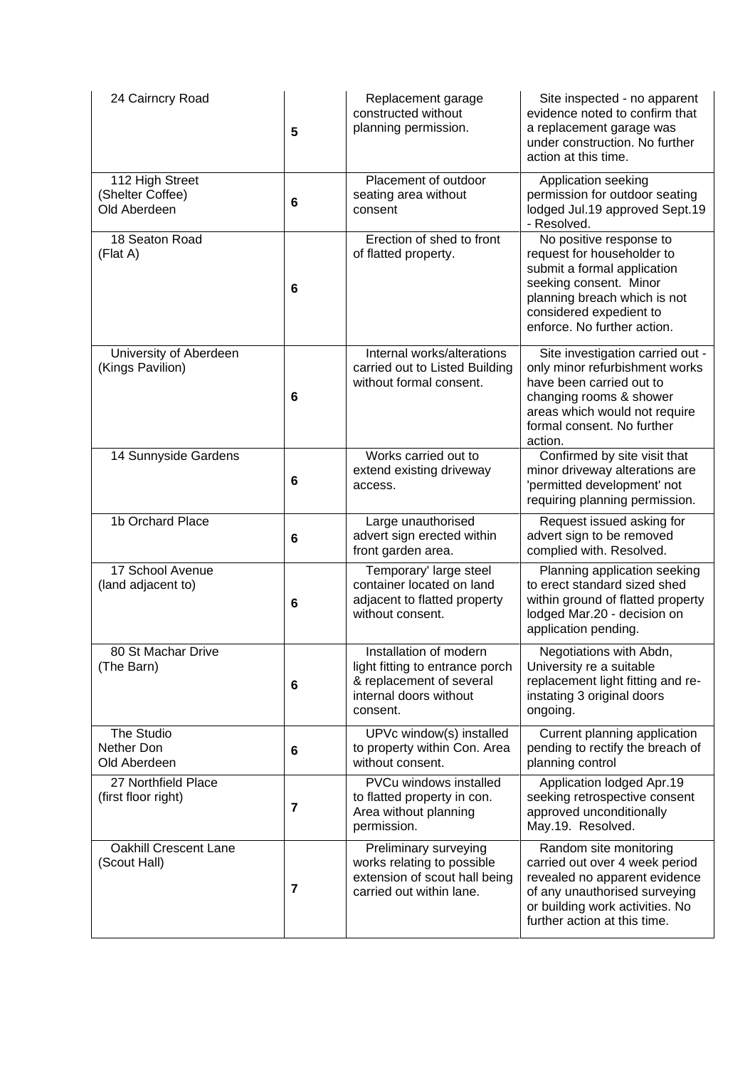| 24 Cairncry Road                                    | 5 | Replacement garage<br>constructed without<br>planning permission.                                                           | Site inspected - no apparent<br>evidence noted to confirm that<br>a replacement garage was<br>under construction. No further<br>action at this time.                                                     |
|-----------------------------------------------------|---|-----------------------------------------------------------------------------------------------------------------------------|----------------------------------------------------------------------------------------------------------------------------------------------------------------------------------------------------------|
| 112 High Street<br>(Shelter Coffee)<br>Old Aberdeen | 6 | Placement of outdoor<br>seating area without<br>consent                                                                     | Application seeking<br>permission for outdoor seating<br>lodged Jul.19 approved Sept.19<br>- Resolved.                                                                                                   |
| 18 Seaton Road<br>(Flat A)                          | 6 | Erection of shed to front<br>of flatted property.                                                                           | No positive response to<br>request for householder to<br>submit a formal application<br>seeking consent. Minor<br>planning breach which is not<br>considered expedient to<br>enforce. No further action. |
| University of Aberdeen<br>(Kings Pavilion)          | 6 | Internal works/alterations<br>carried out to Listed Building<br>without formal consent.                                     | Site investigation carried out -<br>only minor refurbishment works<br>have been carried out to<br>changing rooms & shower<br>areas which would not require<br>formal consent. No further<br>action.      |
| 14 Sunnyside Gardens                                | 6 | Works carried out to<br>extend existing driveway<br>access.                                                                 | Confirmed by site visit that<br>minor driveway alterations are<br>'permitted development' not<br>requiring planning permission.                                                                          |
| 1b Orchard Place                                    | 6 | Large unauthorised<br>advert sign erected within<br>front garden area.                                                      | Request issued asking for<br>advert sign to be removed<br>complied with. Resolved.                                                                                                                       |
| 17 School Avenue<br>(land adjacent to)              | 6 | Temporary' large steel<br>container located on land<br>adjacent to flatted property<br>without consent.                     | Planning application seeking<br>to erect standard sized shed<br>within ground of flatted property<br>lodged Mar.20 - decision on<br>application pending.                                                 |
| 80 St Machar Drive<br>(The Barn)                    | 6 | Installation of modern<br>light fitting to entrance porch<br>& replacement of several<br>internal doors without<br>consent. | Negotiations with Abdn,<br>University re a suitable<br>replacement light fitting and re-<br>instating 3 original doors<br>ongoing.                                                                       |
| The Studio<br>Nether Don<br>Old Aberdeen            | 6 | UPVc window(s) installed<br>to property within Con. Area<br>without consent.                                                | Current planning application<br>pending to rectify the breach of<br>planning control                                                                                                                     |
| 27 Northfield Place<br>(first floor right)          | 7 | <b>PVCu windows installed</b><br>to flatted property in con.<br>Area without planning<br>permission.                        | Application lodged Apr.19<br>seeking retrospective consent<br>approved unconditionally<br>May.19. Resolved.                                                                                              |
| <b>Oakhill Crescent Lane</b><br>(Scout Hall)        | 7 | Preliminary surveying<br>works relating to possible<br>extension of scout hall being<br>carried out within lane.            | Random site monitoring<br>carried out over 4 week period<br>revealed no apparent evidence<br>of any unauthorised surveying<br>or building work activities. No<br>further action at this time.            |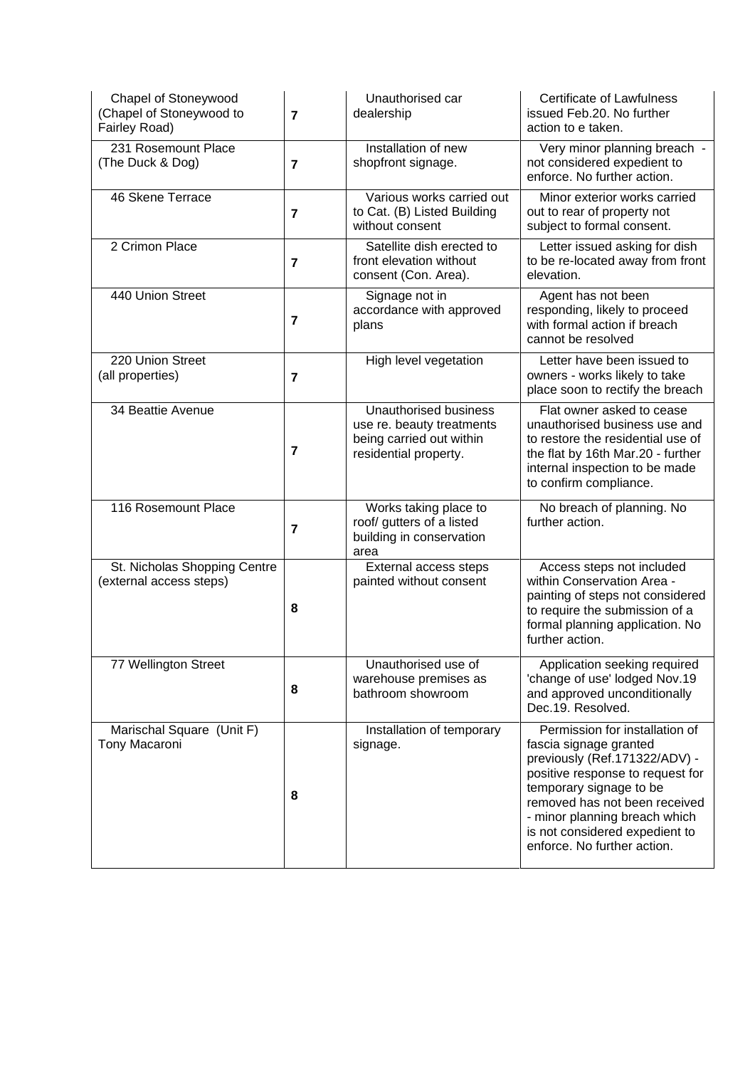| Chapel of Stoneywood<br>(Chapel of Stoneywood to<br>Fairley Road) | $\overline{7}$ | Unauthorised car<br>dealership                                                                          | Certificate of Lawfulness<br>issued Feb.20. No further<br>action to e taken.                                                                                                                                                                                                                |
|-------------------------------------------------------------------|----------------|---------------------------------------------------------------------------------------------------------|---------------------------------------------------------------------------------------------------------------------------------------------------------------------------------------------------------------------------------------------------------------------------------------------|
| 231 Rosemount Place<br>(The Duck & Dog)                           | $\overline{7}$ | Installation of new<br>shopfront signage.                                                               | Very minor planning breach -<br>not considered expedient to<br>enforce. No further action.                                                                                                                                                                                                  |
| 46 Skene Terrace                                                  | $\overline{7}$ | Various works carried out<br>to Cat. (B) Listed Building<br>without consent                             | Minor exterior works carried<br>out to rear of property not<br>subject to formal consent.                                                                                                                                                                                                   |
| 2 Crimon Place                                                    | $\overline{7}$ | Satellite dish erected to<br>front elevation without<br>consent (Con. Area).                            | Letter issued asking for dish<br>to be re-located away from front<br>elevation.                                                                                                                                                                                                             |
| 440 Union Street                                                  | $\overline{7}$ | Signage not in<br>accordance with approved<br>plans                                                     | Agent has not been<br>responding, likely to proceed<br>with formal action if breach<br>cannot be resolved                                                                                                                                                                                   |
| 220 Union Street<br>(all properties)                              | $\overline{7}$ | High level vegetation                                                                                   | Letter have been issued to<br>owners - works likely to take<br>place soon to rectify the breach                                                                                                                                                                                             |
| 34 Beattie Avenue                                                 | 7              | Unauthorised business<br>use re. beauty treatments<br>being carried out within<br>residential property. | Flat owner asked to cease<br>unauthorised business use and<br>to restore the residential use of<br>the flat by 16th Mar.20 - further<br>internal inspection to be made<br>to confirm compliance.                                                                                            |
| 116 Rosemount Place                                               | $\overline{7}$ | Works taking place to<br>roof/ gutters of a listed<br>building in conservation<br>area                  | No breach of planning. No<br>further action.                                                                                                                                                                                                                                                |
| St. Nicholas Shopping Centre<br>(external access steps)           | 8              | External access steps<br>painted without consent                                                        | Access steps not included<br>within Conservation Area -<br>painting of steps not considered<br>to require the submission of a<br>formal planning application. No<br>further action.                                                                                                         |
| 77 Wellington Street                                              | 8              | Unauthorised use of<br>warehouse premises as<br>bathroom showroom                                       | Application seeking required<br>'change of use' lodged Nov.19<br>and approved unconditionally<br>Dec.19. Resolved.                                                                                                                                                                          |
| Marischal Square (Unit F)<br>Tony Macaroni                        | 8              | Installation of temporary<br>signage.                                                                   | Permission for installation of<br>fascia signage granted<br>previously (Ref.171322/ADV) -<br>positive response to request for<br>temporary signage to be<br>removed has not been received<br>- minor planning breach which<br>is not considered expedient to<br>enforce. No further action. |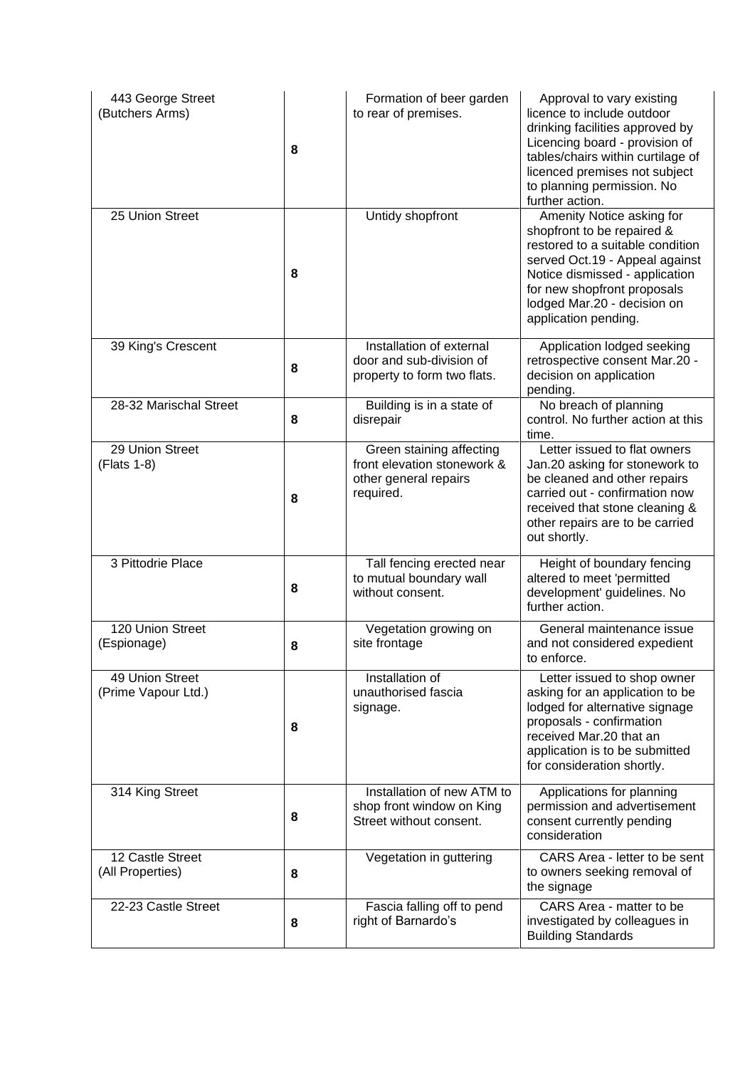| 443 George Street<br>(Butchers Arms)   | 8 | Formation of beer garden<br>to rear of premises.                                              | Approval to vary existing<br>licence to include outdoor<br>drinking facilities approved by<br>Licencing board - provision of<br>tables/chairs within curtilage of<br>licenced premises not subject<br>to planning permission. No<br>further action.   |
|----------------------------------------|---|-----------------------------------------------------------------------------------------------|-------------------------------------------------------------------------------------------------------------------------------------------------------------------------------------------------------------------------------------------------------|
| 25 Union Street                        | 8 | Untidy shopfront                                                                              | Amenity Notice asking for<br>shopfront to be repaired &<br>restored to a suitable condition<br>served Oct.19 - Appeal against<br>Notice dismissed - application<br>for new shopfront proposals<br>lodged Mar.20 - decision on<br>application pending. |
| 39 King's Crescent                     | 8 | Installation of external<br>door and sub-division of<br>property to form two flats.           | Application lodged seeking<br>retrospective consent Mar.20 -<br>decision on application<br>pending.                                                                                                                                                   |
| 28-32 Marischal Street                 | 8 | Building is in a state of<br>disrepair                                                        | No breach of planning<br>control. No further action at this<br>time.                                                                                                                                                                                  |
| 29 Union Street<br>(Flats 1-8)         | 8 | Green staining affecting<br>front elevation stonework &<br>other general repairs<br>required. | Letter issued to flat owners<br>Jan.20 asking for stonework to<br>be cleaned and other repairs<br>carried out - confirmation now<br>received that stone cleaning &<br>other repairs are to be carried<br>out shortly.                                 |
| 3 Pittodrie Place                      | 8 | Tall fencing erected near<br>to mutual boundary wall<br>without consent.                      | Height of boundary fencing<br>altered to meet 'permitted<br>development' guidelines. No<br>further action.                                                                                                                                            |
| 120 Union Street<br>(Espionage)        | 8 | Vegetation growing on<br>site frontage                                                        | General maintenance issue<br>and not considered expedient<br>to enforce.                                                                                                                                                                              |
| 49 Union Street<br>(Prime Vapour Ltd.) | 8 | Installation of<br>unauthorised fascia<br>signage.                                            | Letter issued to shop owner<br>asking for an application to be<br>lodged for alternative signage<br>proposals - confirmation<br>received Mar.20 that an<br>application is to be submitted<br>for consideration shortly.                               |
| 314 King Street                        | 8 | Installation of new ATM to<br>shop front window on King<br>Street without consent.            | Applications for planning<br>permission and advertisement<br>consent currently pending<br>consideration                                                                                                                                               |
| 12 Castle Street<br>(All Properties)   | 8 | Vegetation in guttering                                                                       | CARS Area - letter to be sent<br>to owners seeking removal of<br>the signage                                                                                                                                                                          |
| 22-23 Castle Street                    | 8 | Fascia falling off to pend<br>right of Barnardo's                                             | CARS Area - matter to be<br>investigated by colleagues in<br><b>Building Standards</b>                                                                                                                                                                |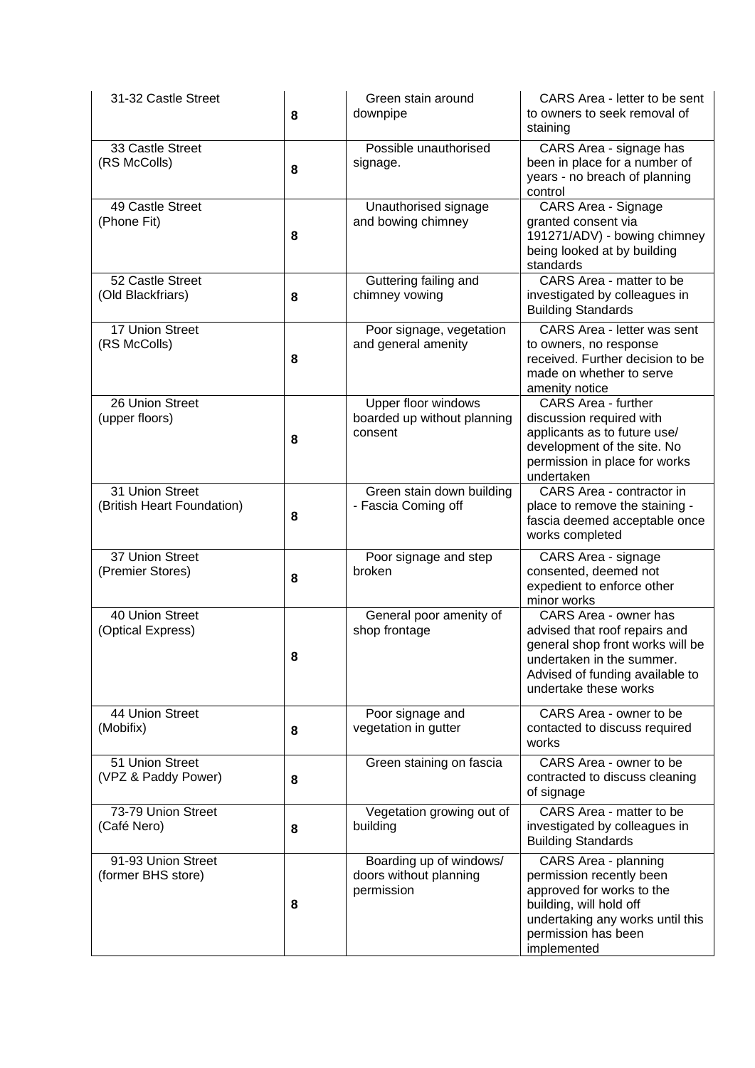| 31-32 Castle Street                           | 8 | Green stain around<br>downpipe                                       | CARS Area - letter to be sent<br>to owners to seek removal of<br>staining                                                                                                           |
|-----------------------------------------------|---|----------------------------------------------------------------------|-------------------------------------------------------------------------------------------------------------------------------------------------------------------------------------|
| 33 Castle Street<br>(RS McColls)              | 8 | Possible unauthorised<br>signage.                                    | CARS Area - signage has<br>been in place for a number of<br>years - no breach of planning<br>control                                                                                |
| 49 Castle Street<br>(Phone Fit)               | 8 | Unauthorised signage<br>and bowing chimney                           | <b>CARS Area - Signage</b><br>granted consent via<br>191271/ADV) - bowing chimney<br>being looked at by building<br>standards                                                       |
| 52 Castle Street<br>(Old Blackfriars)         | 8 | Guttering failing and<br>chimney vowing                              | CARS Area - matter to be<br>investigated by colleagues in<br><b>Building Standards</b>                                                                                              |
| 17 Union Street<br>(RS McColls)               | 8 | Poor signage, vegetation<br>and general amenity                      | CARS Area - letter was sent<br>to owners, no response<br>received. Further decision to be<br>made on whether to serve<br>amenity notice                                             |
| 26 Union Street<br>(upper floors)             | 8 | <b>Upper floor windows</b><br>boarded up without planning<br>consent | <b>CARS Area - further</b><br>discussion required with<br>applicants as to future use/<br>development of the site. No<br>permission in place for works<br>undertaken                |
| 31 Union Street<br>(British Heart Foundation) | 8 | Green stain down building<br>- Fascia Coming off                     | CARS Area - contractor in<br>place to remove the staining -<br>fascia deemed acceptable once<br>works completed                                                                     |
| 37 Union Street<br>(Premier Stores)           | 8 | Poor signage and step<br>broken                                      | CARS Area - signage<br>consented, deemed not<br>expedient to enforce other<br>minor works                                                                                           |
| 40 Union Street<br>(Optical Express)          | 8 | General poor amenity of<br>shop frontage                             | CARS Area - owner has<br>advised that roof repairs and<br>general shop front works will be<br>undertaken in the summer.<br>Advised of funding available to<br>undertake these works |
| 44 Union Street<br>(Mobifix)                  | 8 | Poor signage and<br>vegetation in gutter                             | CARS Area - owner to be<br>contacted to discuss required<br>works                                                                                                                   |
| 51 Union Street<br>(VPZ & Paddy Power)        | 8 | Green staining on fascia                                             | CARS Area - owner to be<br>contracted to discuss cleaning<br>of signage                                                                                                             |
| 73-79 Union Street<br>(Café Nero)             | 8 | Vegetation growing out of<br>building                                | CARS Area - matter to be<br>investigated by colleagues in<br><b>Building Standards</b>                                                                                              |
| 91-93 Union Street<br>(former BHS store)      | 8 | Boarding up of windows/<br>doors without planning<br>permission      | CARS Area - planning<br>permission recently been<br>approved for works to the<br>building, will hold off<br>undertaking any works until this<br>permission has been<br>implemented  |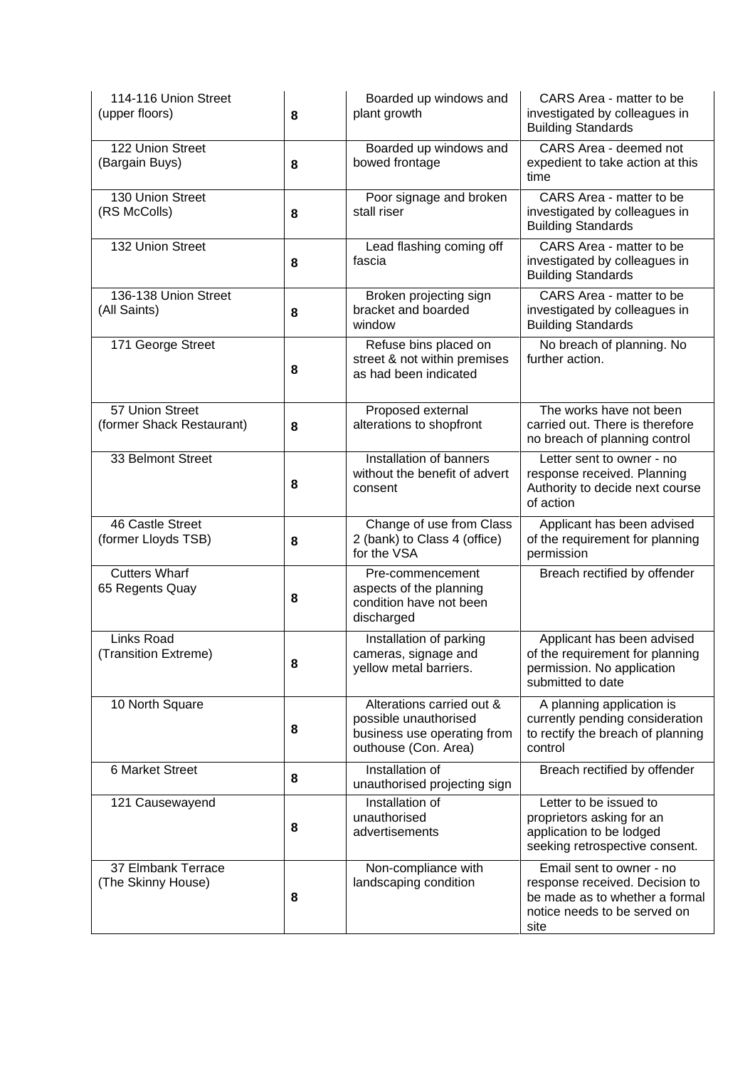| 114-116 Union Street<br>(upper floors)       | 8 | Boarded up windows and<br>plant growth                                                                    | CARS Area - matter to be<br>investigated by colleagues in<br><b>Building Standards</b>                                               |
|----------------------------------------------|---|-----------------------------------------------------------------------------------------------------------|--------------------------------------------------------------------------------------------------------------------------------------|
| 122 Union Street<br>(Bargain Buys)           | 8 | Boarded up windows and<br>bowed frontage                                                                  | CARS Area - deemed not<br>expedient to take action at this<br>time                                                                   |
| 130 Union Street<br>(RS McColls)             | 8 | Poor signage and broken<br>stall riser                                                                    | CARS Area - matter to be<br>investigated by colleagues in<br><b>Building Standards</b>                                               |
| 132 Union Street                             | 8 | Lead flashing coming off<br>fascia                                                                        | CARS Area - matter to be<br>investigated by colleagues in<br><b>Building Standards</b>                                               |
| 136-138 Union Street<br>(All Saints)         | 8 | Broken projecting sign<br>bracket and boarded<br>window                                                   | CARS Area - matter to be<br>investigated by colleagues in<br><b>Building Standards</b>                                               |
| 171 George Street                            | 8 | Refuse bins placed on<br>street & not within premises<br>as had been indicated                            | No breach of planning. No<br>further action.                                                                                         |
| 57 Union Street<br>(former Shack Restaurant) | 8 | Proposed external<br>alterations to shopfront                                                             | The works have not been<br>carried out. There is therefore<br>no breach of planning control                                          |
| 33 Belmont Street                            | 8 | Installation of banners<br>without the benefit of advert<br>consent                                       | Letter sent to owner - no<br>response received. Planning<br>Authority to decide next course<br>of action                             |
| 46 Castle Street<br>(former Lloyds TSB)      | 8 | Change of use from Class<br>2 (bank) to Class 4 (office)<br>for the VSA                                   | Applicant has been advised<br>of the requirement for planning<br>permission                                                          |
| <b>Cutters Wharf</b><br>65 Regents Quay      | 8 | Pre-commencement<br>aspects of the planning<br>condition have not been<br>discharged                      | Breach rectified by offender                                                                                                         |
| Links Road<br>(Transition Extreme)           | 8 | Installation of parking<br>cameras, signage and<br>yellow metal barriers.                                 | Applicant has been advised<br>of the requirement for planning<br>permission. No application<br>submitted to date                     |
| 10 North Square                              | 8 | Alterations carried out &<br>possible unauthorised<br>business use operating from<br>outhouse (Con. Area) | A planning application is<br>currently pending consideration<br>to rectify the breach of planning<br>control                         |
| 6 Market Street                              | 8 | Installation of<br>unauthorised projecting sign                                                           | Breach rectified by offender                                                                                                         |
| 121 Causewayend                              | 8 | Installation of<br>unauthorised<br>advertisements                                                         | Letter to be issued to<br>proprietors asking for an<br>application to be lodged<br>seeking retrospective consent.                    |
| 37 Elmbank Terrace<br>(The Skinny House)     | 8 | Non-compliance with<br>landscaping condition                                                              | Email sent to owner - no<br>response received. Decision to<br>be made as to whether a formal<br>notice needs to be served on<br>site |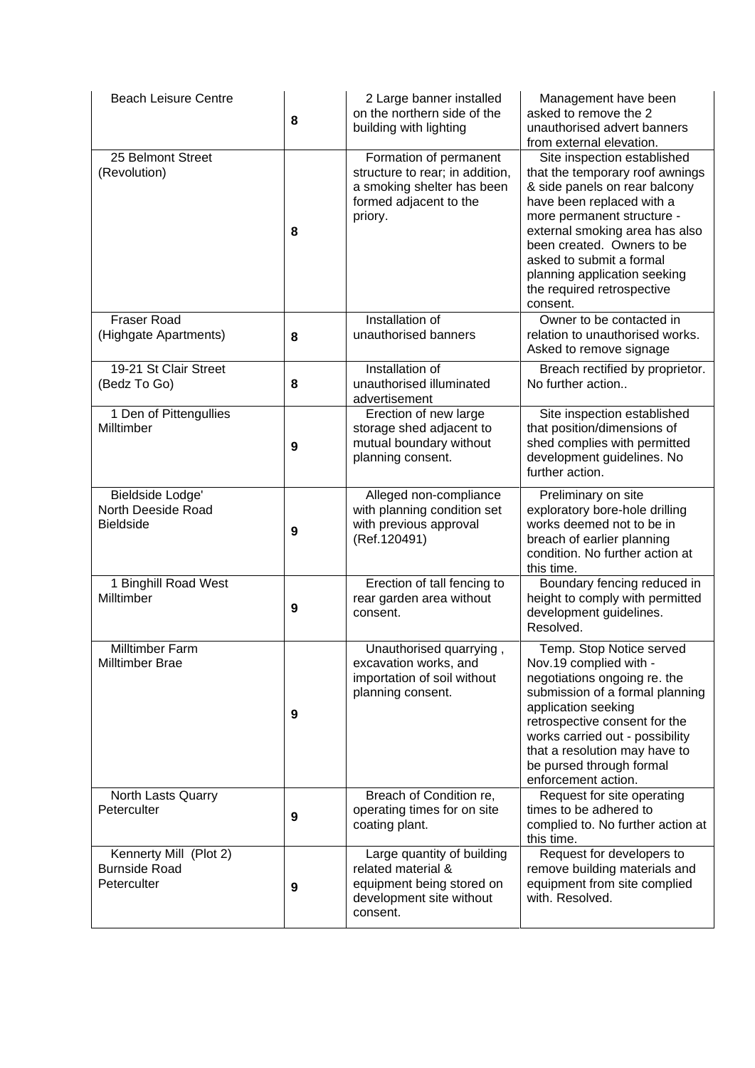| <b>Beach Leisure Centre</b>                                   | 8 | 2 Large banner installed<br>on the northern side of the<br>building with lighting                                            | Management have been<br>asked to remove the 2<br>unauthorised advert banners<br>from external elevation.                                                                                                                                                                                                                         |
|---------------------------------------------------------------|---|------------------------------------------------------------------------------------------------------------------------------|----------------------------------------------------------------------------------------------------------------------------------------------------------------------------------------------------------------------------------------------------------------------------------------------------------------------------------|
| 25 Belmont Street<br>(Revolution)                             | 8 | Formation of permanent<br>structure to rear; in addition,<br>a smoking shelter has been<br>formed adjacent to the<br>priory. | Site inspection established<br>that the temporary roof awnings<br>& side panels on rear balcony<br>have been replaced with a<br>more permanent structure -<br>external smoking area has also<br>been created. Owners to be<br>asked to submit a formal<br>planning application seeking<br>the required retrospective<br>consent. |
| <b>Fraser Road</b><br>(Highgate Apartments)                   | 8 | Installation of<br>unauthorised banners                                                                                      | Owner to be contacted in<br>relation to unauthorised works.<br>Asked to remove signage                                                                                                                                                                                                                                           |
| 19-21 St Clair Street<br>(Bedz To Go)                         | 8 | Installation of<br>unauthorised illuminated<br>advertisement                                                                 | Breach rectified by proprietor.<br>No further action                                                                                                                                                                                                                                                                             |
| 1 Den of Pittengullies<br>Milltimber                          | 9 | Erection of new large<br>storage shed adjacent to<br>mutual boundary without<br>planning consent.                            | Site inspection established<br>that position/dimensions of<br>shed complies with permitted<br>development guidelines. No<br>further action.                                                                                                                                                                                      |
| Bieldside Lodge'<br>North Deeside Road<br><b>Bieldside</b>    | 9 | Alleged non-compliance<br>with planning condition set<br>with previous approval<br>(Ref.120491)                              | Preliminary on site<br>exploratory bore-hole drilling<br>works deemed not to be in<br>breach of earlier planning<br>condition. No further action at<br>this time.                                                                                                                                                                |
| 1 Binghill Road West<br>Milltimber                            | 9 | Erection of tall fencing to<br>rear garden area without<br>consent.                                                          | Boundary fencing reduced in<br>height to comply with permitted<br>development guidelines.<br>Resolved.                                                                                                                                                                                                                           |
| Milltimber Farm<br>Milltimber Brae                            | 9 | Unauthorised quarrying,<br>excavation works, and<br>importation of soil without<br>planning consent.                         | Temp. Stop Notice served<br>Nov.19 complied with -<br>negotiations ongoing re. the<br>submission of a formal planning<br>application seeking<br>retrospective consent for the<br>works carried out - possibility<br>that a resolution may have to<br>be pursed through formal<br>enforcement action.                             |
| North Lasts Quarry<br>Peterculter                             | 9 | Breach of Condition re,<br>operating times for on site<br>coating plant.                                                     | Request for site operating<br>times to be adhered to<br>complied to. No further action at<br>this time.                                                                                                                                                                                                                          |
| Kennerty Mill (Plot 2)<br><b>Burnside Road</b><br>Peterculter | 9 | Large quantity of building<br>related material &<br>equipment being stored on<br>development site without<br>consent.        | Request for developers to<br>remove building materials and<br>equipment from site complied<br>with. Resolved.                                                                                                                                                                                                                    |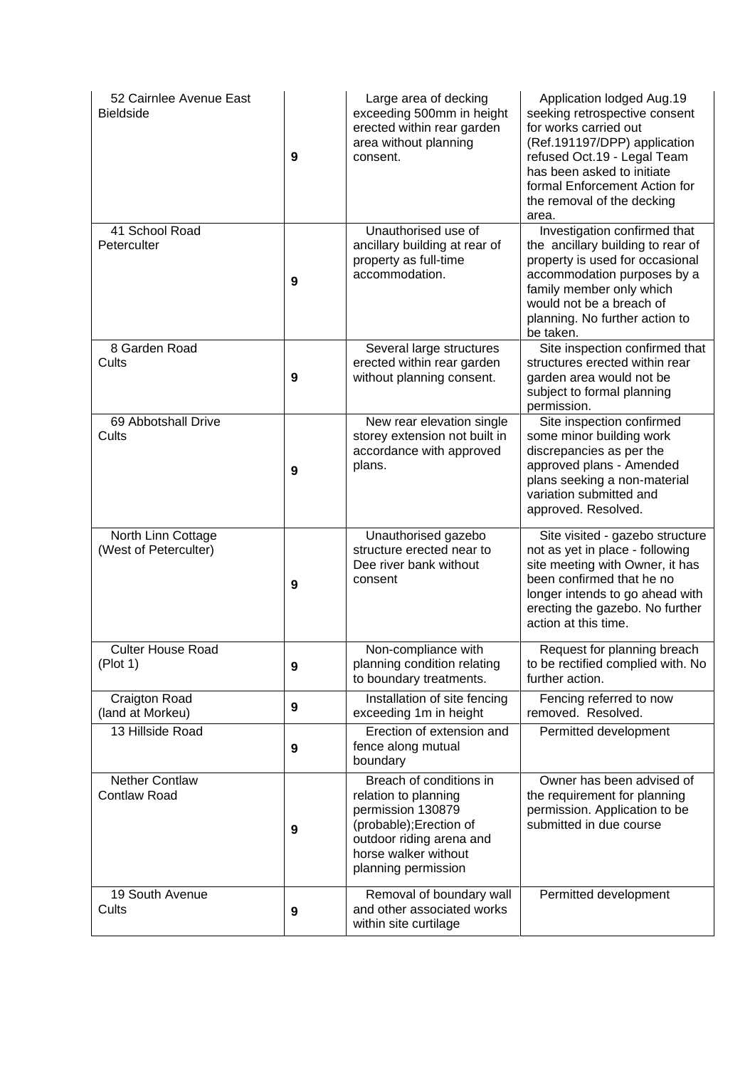| 52 Cairnlee Avenue East<br><b>Bieldside</b>  | 9 | Large area of decking<br>exceeding 500mm in height<br>erected within rear garden<br>area without planning<br>consent.                                                      | Application lodged Aug.19<br>seeking retrospective consent<br>for works carried out<br>(Ref.191197/DPP) application<br>refused Oct.19 - Legal Team<br>has been asked to initiate<br>formal Enforcement Action for<br>the removal of the decking<br>area. |
|----------------------------------------------|---|----------------------------------------------------------------------------------------------------------------------------------------------------------------------------|----------------------------------------------------------------------------------------------------------------------------------------------------------------------------------------------------------------------------------------------------------|
| 41 School Road<br>Peterculter                | 9 | Unauthorised use of<br>ancillary building at rear of<br>property as full-time<br>accommodation.                                                                            | Investigation confirmed that<br>the ancillary building to rear of<br>property is used for occasional<br>accommodation purposes by a<br>family member only which<br>would not be a breach of<br>planning. No further action to<br>be taken.               |
| 8 Garden Road<br>Cults                       | 9 | Several large structures<br>erected within rear garden<br>without planning consent.                                                                                        | Site inspection confirmed that<br>structures erected within rear<br>garden area would not be<br>subject to formal planning<br>permission.                                                                                                                |
| 69 Abbotshall Drive<br>Cults                 | 9 | New rear elevation single<br>storey extension not built in<br>accordance with approved<br>plans.                                                                           | Site inspection confirmed<br>some minor building work<br>discrepancies as per the<br>approved plans - Amended<br>plans seeking a non-material<br>variation submitted and<br>approved. Resolved.                                                          |
| North Linn Cottage<br>(West of Peterculter)  | 9 | Unauthorised gazebo<br>structure erected near to<br>Dee river bank without<br>consent                                                                                      | Site visited - gazebo structure<br>not as yet in place - following<br>site meeting with Owner, it has<br>been confirmed that he no<br>longer intends to go ahead with<br>erecting the gazebo. No further<br>action at this time.                         |
| <b>Culter House Road</b><br>(Plot 1)         | 9 | Non-compliance with<br>planning condition relating<br>to boundary treatments.                                                                                              | Request for planning breach<br>to be rectified complied with. No<br>further action.                                                                                                                                                                      |
| Craigton Road<br>(land at Morkeu)            | 9 | Installation of site fencing<br>exceeding 1m in height                                                                                                                     | Fencing referred to now<br>removed. Resolved.                                                                                                                                                                                                            |
| 13 Hillside Road                             | 9 | Erection of extension and<br>fence along mutual<br>boundary                                                                                                                | Permitted development                                                                                                                                                                                                                                    |
| <b>Nether Contlaw</b><br><b>Contlaw Road</b> | 9 | Breach of conditions in<br>relation to planning<br>permission 130879<br>(probable); Erection of<br>outdoor riding arena and<br>horse walker without<br>planning permission | Owner has been advised of<br>the requirement for planning<br>permission. Application to be<br>submitted in due course                                                                                                                                    |
| 19 South Avenue<br>Cults                     | 9 | Removal of boundary wall<br>and other associated works<br>within site curtilage                                                                                            | Permitted development                                                                                                                                                                                                                                    |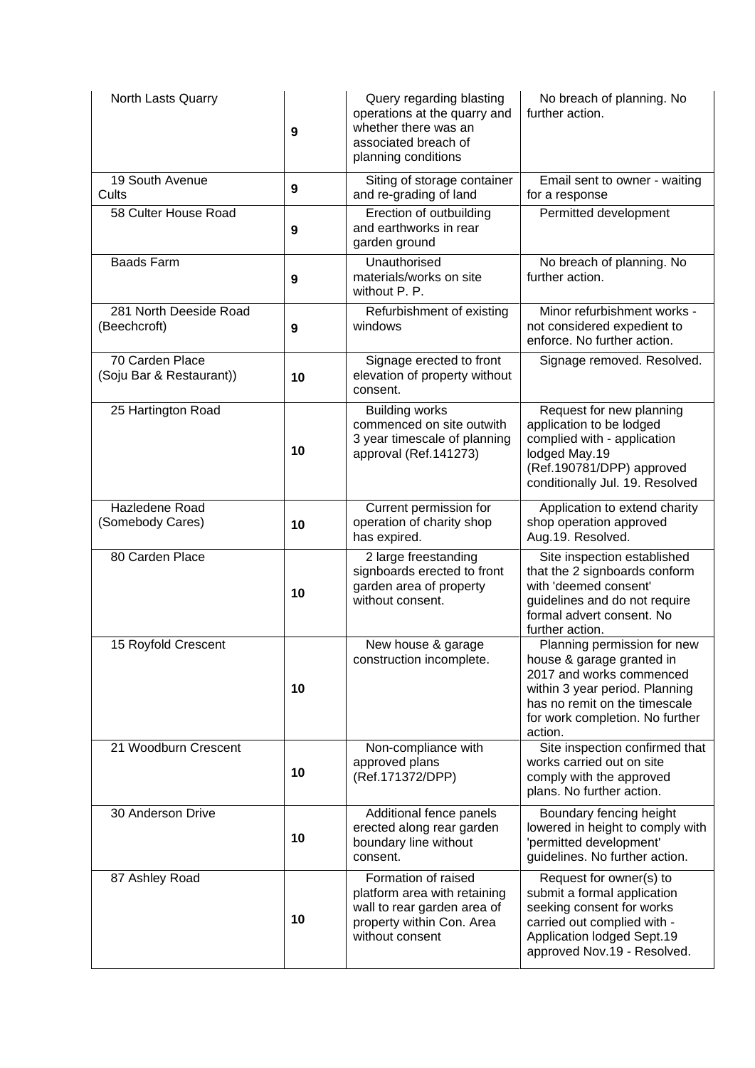| North Lasts Quarry                          | 9  | Query regarding blasting<br>operations at the quarry and<br>whether there was an<br>associated breach of<br>planning conditions    | No breach of planning. No<br>further action.                                                                                                                                                          |
|---------------------------------------------|----|------------------------------------------------------------------------------------------------------------------------------------|-------------------------------------------------------------------------------------------------------------------------------------------------------------------------------------------------------|
| 19 South Avenue<br>Cults                    | 9  | Siting of storage container<br>and re-grading of land                                                                              | Email sent to owner - waiting<br>for a response                                                                                                                                                       |
| 58 Culter House Road                        | 9  | Erection of outbuilding<br>and earthworks in rear<br>garden ground                                                                 | Permitted development                                                                                                                                                                                 |
| <b>Baads Farm</b>                           | 9  | Unauthorised<br>materials/works on site<br>without P. P.                                                                           | No breach of planning. No<br>further action.                                                                                                                                                          |
| 281 North Deeside Road<br>(Beechcroft)      | 9  | Refurbishment of existing<br>windows                                                                                               | Minor refurbishment works -<br>not considered expedient to<br>enforce. No further action.                                                                                                             |
| 70 Carden Place<br>(Soju Bar & Restaurant)) | 10 | Signage erected to front<br>elevation of property without<br>consent.                                                              | Signage removed. Resolved.                                                                                                                                                                            |
| 25 Hartington Road                          | 10 | <b>Building works</b><br>commenced on site outwith<br>3 year timescale of planning<br>approval (Ref.141273)                        | Request for new planning<br>application to be lodged<br>complied with - application<br>lodged May.19<br>(Ref.190781/DPP) approved<br>conditionally Jul. 19. Resolved                                  |
| Hazledene Road<br>(Somebody Cares)          | 10 | Current permission for<br>operation of charity shop<br>has expired.                                                                | Application to extend charity<br>shop operation approved<br>Aug.19. Resolved.                                                                                                                         |
| 80 Carden Place                             | 10 | 2 large freestanding<br>signboards erected to front<br>garden area of property<br>without consent.                                 | Site inspection established<br>that the 2 signboards conform<br>with 'deemed consent'<br>guidelines and do not require<br>formal advert consent. No<br>further action.                                |
| 15 Royfold Crescent                         | 10 | New house & garage<br>construction incomplete.                                                                                     | Planning permission for new<br>house & garage granted in<br>2017 and works commenced<br>within 3 year period. Planning<br>has no remit on the timescale<br>for work completion. No further<br>action. |
| 21 Woodburn Crescent                        | 10 | Non-compliance with<br>approved plans<br>(Ref.171372/DPP)                                                                          | Site inspection confirmed that<br>works carried out on site<br>comply with the approved<br>plans. No further action.                                                                                  |
| 30 Anderson Drive                           | 10 | Additional fence panels<br>erected along rear garden<br>boundary line without<br>consent.                                          | Boundary fencing height<br>lowered in height to comply with<br>'permitted development'<br>guidelines. No further action.                                                                              |
| 87 Ashley Road                              | 10 | Formation of raised<br>platform area with retaining<br>wall to rear garden area of<br>property within Con. Area<br>without consent | Request for owner(s) to<br>submit a formal application<br>seeking consent for works<br>carried out complied with -<br>Application lodged Sept.19<br>approved Nov.19 - Resolved.                       |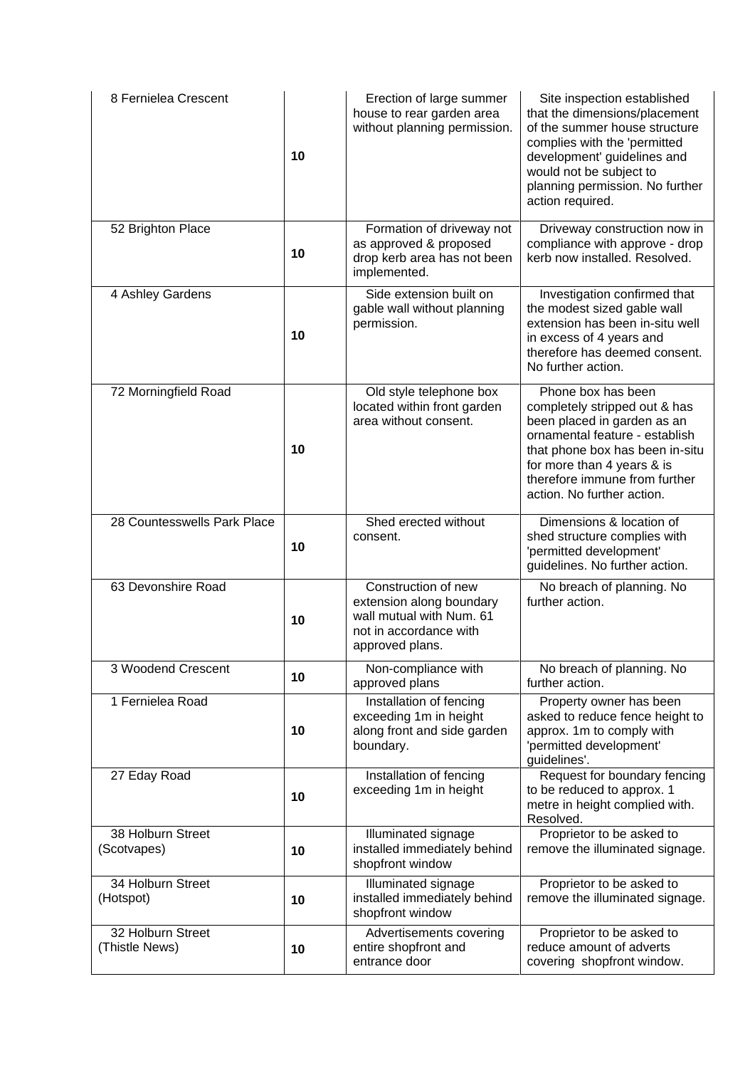| 8 Fernielea Crescent                | 10 | Erection of large summer<br>house to rear garden area<br>without planning permission.                                    | Site inspection established<br>that the dimensions/placement<br>of the summer house structure<br>complies with the 'permitted<br>development' guidelines and<br>would not be subject to<br>planning permission. No further<br>action required.       |
|-------------------------------------|----|--------------------------------------------------------------------------------------------------------------------------|------------------------------------------------------------------------------------------------------------------------------------------------------------------------------------------------------------------------------------------------------|
| 52 Brighton Place                   | 10 | Formation of driveway not<br>as approved & proposed<br>drop kerb area has not been<br>implemented.                       | Driveway construction now in<br>compliance with approve - drop<br>kerb now installed. Resolved.                                                                                                                                                      |
| 4 Ashley Gardens                    | 10 | Side extension built on<br>gable wall without planning<br>permission.                                                    | Investigation confirmed that<br>the modest sized gable wall<br>extension has been in-situ well<br>in excess of 4 years and<br>therefore has deemed consent.<br>No further action.                                                                    |
| 72 Morningfield Road                | 10 | Old style telephone box<br>located within front garden<br>area without consent.                                          | Phone box has been<br>completely stripped out & has<br>been placed in garden as an<br>ornamental feature - establish<br>that phone box has been in-situ<br>for more than 4 years & is<br>therefore immune from further<br>action. No further action. |
| 28 Countesswells Park Place         | 10 | Shed erected without<br>consent.                                                                                         | Dimensions & location of<br>shed structure complies with<br>'permitted development'<br>guidelines. No further action.                                                                                                                                |
| 63 Devonshire Road                  | 10 | Construction of new<br>extension along boundary<br>wall mutual with Num. 61<br>not in accordance with<br>approved plans. | No breach of planning. No<br>further action.                                                                                                                                                                                                         |
| 3 Woodend Crescent                  | 10 | Non-compliance with<br>approved plans                                                                                    | No breach of planning. No<br>further action.                                                                                                                                                                                                         |
| 1 Fernielea Road                    | 10 | Installation of fencing<br>exceeding 1m in height<br>along front and side garden<br>boundary.                            | Property owner has been<br>asked to reduce fence height to<br>approx. 1m to comply with<br>'permitted development'<br>guidelines'.                                                                                                                   |
| 27 Eday Road                        | 10 | Installation of fencing<br>exceeding 1m in height                                                                        | Request for boundary fencing<br>to be reduced to approx. 1<br>metre in height complied with.<br>Resolved.                                                                                                                                            |
| 38 Holburn Street<br>(Scotvapes)    | 10 | Illuminated signage<br>installed immediately behind<br>shopfront window                                                  | Proprietor to be asked to<br>remove the illuminated signage.                                                                                                                                                                                         |
| 34 Holburn Street<br>(Hotspot)      | 10 | Illuminated signage<br>installed immediately behind<br>shopfront window                                                  | Proprietor to be asked to<br>remove the illuminated signage.                                                                                                                                                                                         |
| 32 Holburn Street<br>(Thistle News) | 10 | Advertisements covering<br>entire shopfront and<br>entrance door                                                         | Proprietor to be asked to<br>reduce amount of adverts<br>covering shopfront window.                                                                                                                                                                  |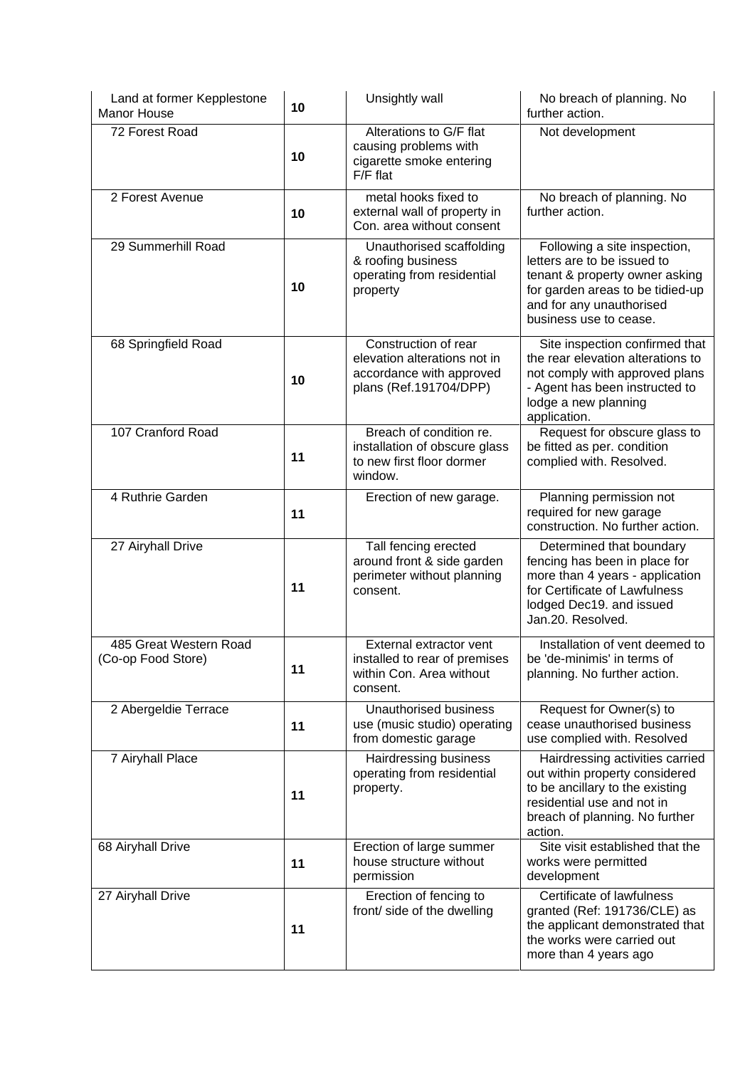| Land at former Kepplestone<br><b>Manor House</b> | 10 | Unsightly wall                                                                                             | No breach of planning. No<br>further action.                                                                                                                                            |
|--------------------------------------------------|----|------------------------------------------------------------------------------------------------------------|-----------------------------------------------------------------------------------------------------------------------------------------------------------------------------------------|
| 72 Forest Road                                   | 10 | Alterations to G/F flat<br>causing problems with<br>cigarette smoke entering<br>$F/F$ flat                 | Not development                                                                                                                                                                         |
| 2 Forest Avenue                                  | 10 | metal hooks fixed to<br>external wall of property in<br>Con. area without consent                          | No breach of planning. No<br>further action.                                                                                                                                            |
| 29 Summerhill Road                               | 10 | Unauthorised scaffolding<br>& roofing business<br>operating from residential<br>property                   | Following a site inspection,<br>letters are to be issued to<br>tenant & property owner asking<br>for garden areas to be tidied-up<br>and for any unauthorised<br>business use to cease. |
| 68 Springfield Road                              | 10 | Construction of rear<br>elevation alterations not in<br>accordance with approved<br>plans (Ref.191704/DPP) | Site inspection confirmed that<br>the rear elevation alterations to<br>not comply with approved plans<br>- Agent has been instructed to<br>lodge a new planning<br>application.         |
| 107 Cranford Road                                | 11 | Breach of condition re.<br>installation of obscure glass<br>to new first floor dormer<br>window.           | Request for obscure glass to<br>be fitted as per. condition<br>complied with. Resolved.                                                                                                 |
| 4 Ruthrie Garden                                 | 11 | Erection of new garage.                                                                                    | Planning permission not<br>required for new garage<br>construction. No further action.                                                                                                  |
| 27 Airyhall Drive                                | 11 | Tall fencing erected<br>around front & side garden<br>perimeter without planning<br>consent.               | Determined that boundary<br>fencing has been in place for<br>more than 4 years - application<br>for Certificate of Lawfulness<br>lodged Dec19. and issued<br>Jan.20. Resolved.          |
| 485 Great Western Road<br>(Co-op Food Store)     | 11 | External extractor vent<br>installed to rear of premises<br>within Con. Area without<br>consent.           | Installation of vent deemed to<br>be 'de-minimis' in terms of<br>planning. No further action.                                                                                           |
| 2 Abergeldie Terrace                             | 11 | Unauthorised business<br>use (music studio) operating<br>from domestic garage                              | Request for Owner(s) to<br>cease unauthorised business<br>use complied with. Resolved                                                                                                   |
| 7 Airyhall Place                                 | 11 | Hairdressing business<br>operating from residential<br>property.                                           | Hairdressing activities carried<br>out within property considered<br>to be ancillary to the existing<br>residential use and not in<br>breach of planning. No further<br>action.         |
| 68 Airyhall Drive                                | 11 | Erection of large summer<br>house structure without<br>permission                                          | Site visit established that the<br>works were permitted<br>development                                                                                                                  |
| 27 Airyhall Drive                                | 11 | Erection of fencing to<br>front/ side of the dwelling                                                      | Certificate of lawfulness<br>granted (Ref: 191736/CLE) as<br>the applicant demonstrated that<br>the works were carried out<br>more than 4 years ago                                     |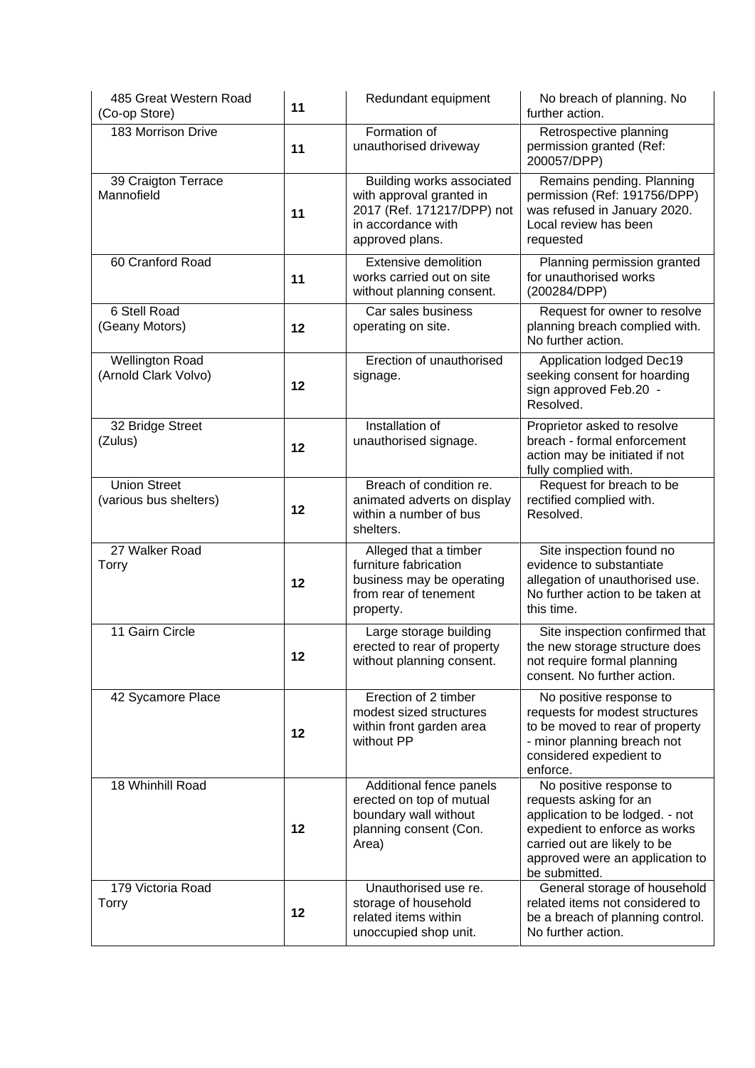| 485 Great Western Road<br>(Co-op Store)        | 11 | Redundant equipment                                                                                                          | No breach of planning. No<br>further action.                                                                                                                                                              |
|------------------------------------------------|----|------------------------------------------------------------------------------------------------------------------------------|-----------------------------------------------------------------------------------------------------------------------------------------------------------------------------------------------------------|
| 183 Morrison Drive                             | 11 | Formation of<br>unauthorised driveway                                                                                        | Retrospective planning<br>permission granted (Ref:<br>200057/DPP)                                                                                                                                         |
| 39 Craigton Terrace<br>Mannofield              | 11 | Building works associated<br>with approval granted in<br>2017 (Ref. 171217/DPP) not<br>in accordance with<br>approved plans. | Remains pending. Planning<br>permission (Ref: 191756/DPP)<br>was refused in January 2020.<br>Local review has been<br>requested                                                                           |
| 60 Cranford Road                               | 11 | <b>Extensive demolition</b><br>works carried out on site<br>without planning consent.                                        | Planning permission granted<br>for unauthorised works<br>(200284/DPP)                                                                                                                                     |
| 6 Stell Road<br>(Geany Motors)                 | 12 | Car sales business<br>operating on site.                                                                                     | Request for owner to resolve<br>planning breach complied with.<br>No further action.                                                                                                                      |
| <b>Wellington Road</b><br>(Arnold Clark Volvo) | 12 | Erection of unauthorised<br>signage.                                                                                         | Application lodged Dec19<br>seeking consent for hoarding<br>sign approved Feb.20 -<br>Resolved.                                                                                                           |
| 32 Bridge Street<br>(Zulus)                    | 12 | Installation of<br>unauthorised signage.                                                                                     | Proprietor asked to resolve<br>breach - formal enforcement<br>action may be initiated if not<br>fully complied with.                                                                                      |
| <b>Union Street</b><br>(various bus shelters)  | 12 | Breach of condition re.<br>animated adverts on display<br>within a number of bus<br>shelters.                                | Request for breach to be<br>rectified complied with.<br>Resolved.                                                                                                                                         |
| 27 Walker Road<br>Torry                        | 12 | Alleged that a timber<br>furniture fabrication<br>business may be operating<br>from rear of tenement<br>property.            | Site inspection found no<br>evidence to substantiate<br>allegation of unauthorised use.<br>No further action to be taken at<br>this time.                                                                 |
| 11 Gairn Circle                                | 12 | Large storage building<br>erected to rear of property<br>without planning consent.                                           | Site inspection confirmed that<br>the new storage structure does<br>not require formal planning<br>consent. No further action.                                                                            |
| 42 Sycamore Place                              | 12 | Erection of 2 timber<br>modest sized structures<br>within front garden area<br>without PP                                    | No positive response to<br>requests for modest structures<br>to be moved to rear of property<br>- minor planning breach not<br>considered expedient to<br>enforce.                                        |
| 18 Whinhill Road                               | 12 | Additional fence panels<br>erected on top of mutual<br>boundary wall without<br>planning consent (Con.<br>Area)              | No positive response to<br>requests asking for an<br>application to be lodged. - not<br>expedient to enforce as works<br>carried out are likely to be<br>approved were an application to<br>be submitted. |
| 179 Victoria Road<br><b>Torry</b>              | 12 | Unauthorised use re.<br>storage of household<br>related items within<br>unoccupied shop unit.                                | General storage of household<br>related items not considered to<br>be a breach of planning control.<br>No further action.                                                                                 |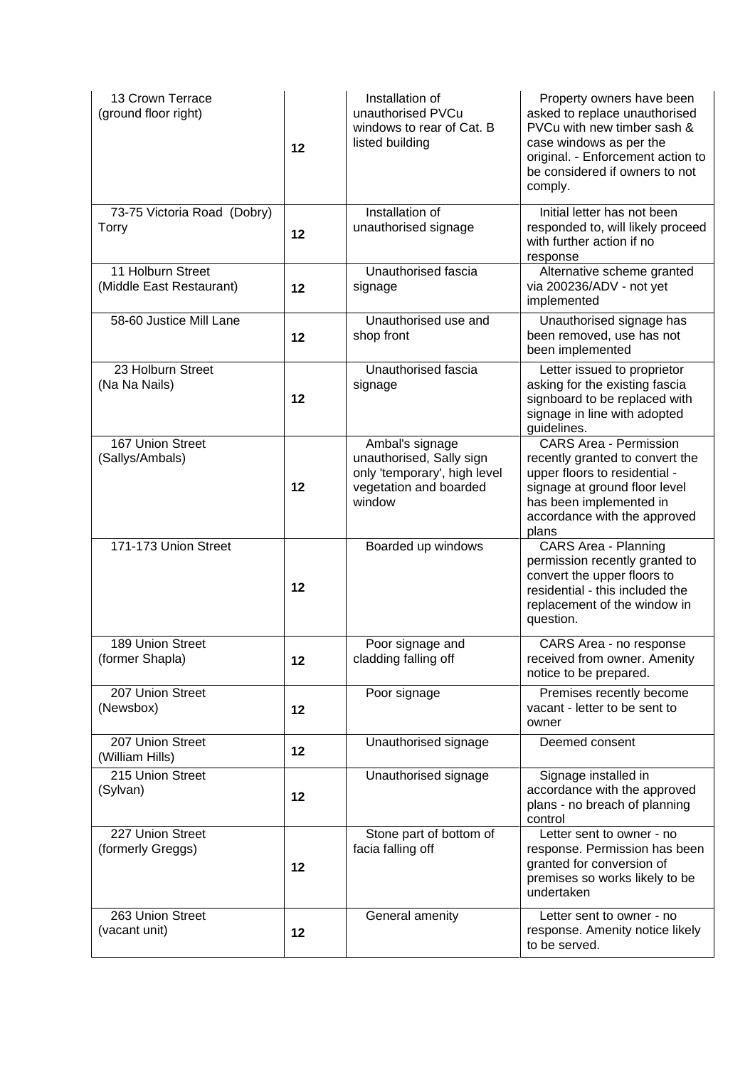| 13 Crown Terrace<br>(ground floor right)      | 12 | Installation of<br>unauthorised PVCu<br>windows to rear of Cat. B<br>listed building                            | Property owners have been<br>asked to replace unauthorised<br>PVCu with new timber sash &<br>case windows as per the<br>original. - Enforcement action to<br>be considered if owners to not<br>comply. |
|-----------------------------------------------|----|-----------------------------------------------------------------------------------------------------------------|--------------------------------------------------------------------------------------------------------------------------------------------------------------------------------------------------------|
| 73-75 Victoria Road (Dobry)<br><b>Torry</b>   | 12 | Installation of<br>unauthorised signage                                                                         | Initial letter has not been<br>responded to, will likely proceed<br>with further action if no<br>response                                                                                              |
| 11 Holburn Street<br>(Middle East Restaurant) | 12 | Unauthorised fascia<br>signage                                                                                  | Alternative scheme granted<br>via 200236/ADV - not yet<br>implemented                                                                                                                                  |
| 58-60 Justice Mill Lane                       | 12 | Unauthorised use and<br>shop front                                                                              | Unauthorised signage has<br>been removed, use has not<br>been implemented                                                                                                                              |
| 23 Holburn Street<br>(Na Na Nails)            | 12 | Unauthorised fascia<br>signage                                                                                  | Letter issued to proprietor<br>asking for the existing fascia<br>signboard to be replaced with<br>signage in line with adopted<br>guidelines.                                                          |
| 167 Union Street<br>(Sallys/Ambals)           | 12 | Ambal's signage<br>unauthorised, Sally sign<br>only 'temporary', high level<br>vegetation and boarded<br>window | <b>CARS Area - Permission</b><br>recently granted to convert the<br>upper floors to residential -<br>signage at ground floor level<br>has been implemented in<br>accordance with the approved<br>plans |
| 171-173 Union Street                          | 12 | Boarded up windows                                                                                              | <b>CARS Area - Planning</b><br>permission recently granted to<br>convert the upper floors to<br>residential - this included the<br>replacement of the window in<br>question.                           |
| 189 Union Street<br>(former Shapla)           | 12 | Poor signage and<br>cladding falling off                                                                        | CARS Area - no response<br>received from owner. Amenity<br>notice to be prepared.                                                                                                                      |
| 207 Union Street<br>(Newsbox)                 | 12 | Poor signage                                                                                                    | Premises recently become<br>vacant - letter to be sent to<br>owner                                                                                                                                     |
| 207 Union Street<br>(William Hills)           | 12 | Unauthorised signage                                                                                            | Deemed consent                                                                                                                                                                                         |
| 215 Union Street<br>(Sylvan)                  | 12 | Unauthorised signage                                                                                            | Signage installed in<br>accordance with the approved<br>plans - no breach of planning<br>control                                                                                                       |
| 227 Union Street<br>(formerly Greggs)         | 12 | Stone part of bottom of<br>facia falling off                                                                    | Letter sent to owner - no<br>response. Permission has been<br>granted for conversion of<br>premises so works likely to be<br>undertaken                                                                |
| 263 Union Street<br>(vacant unit)             | 12 | General amenity                                                                                                 | Letter sent to owner - no<br>response. Amenity notice likely<br>to be served.                                                                                                                          |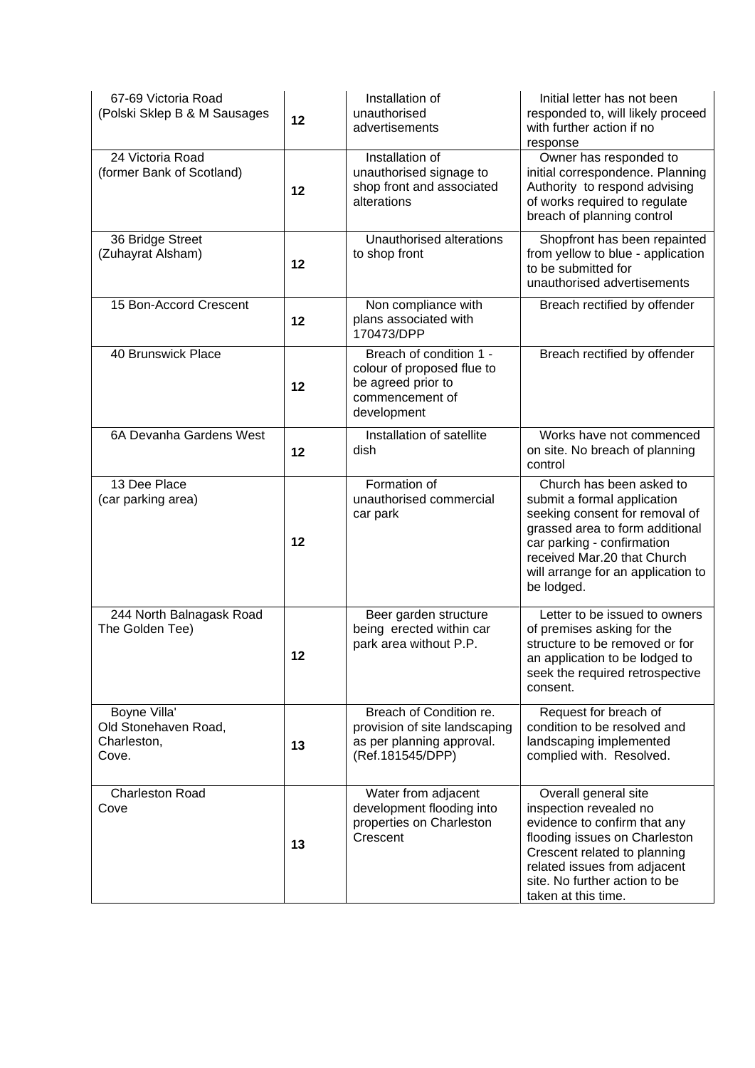| 67-69 Victoria Road<br>(Polski Sklep B & M Sausages          | 12 | Installation of<br>unauthorised<br>advertisements                                                             | Initial letter has not been<br>responded to, will likely proceed<br>with further action if no<br>response                                                                                                                                     |
|--------------------------------------------------------------|----|---------------------------------------------------------------------------------------------------------------|-----------------------------------------------------------------------------------------------------------------------------------------------------------------------------------------------------------------------------------------------|
| 24 Victoria Road<br>(former Bank of Scotland)                | 12 | Installation of<br>unauthorised signage to<br>shop front and associated<br>alterations                        | Owner has responded to<br>initial correspondence. Planning<br>Authority to respond advising<br>of works required to regulate<br>breach of planning control                                                                                    |
| 36 Bridge Street<br>(Zuhayrat Alsham)                        | 12 | Unauthorised alterations<br>to shop front                                                                     | Shopfront has been repainted<br>from yellow to blue - application<br>to be submitted for<br>unauthorised advertisements                                                                                                                       |
| 15 Bon-Accord Crescent                                       | 12 | Non compliance with<br>plans associated with<br>170473/DPP                                                    | Breach rectified by offender                                                                                                                                                                                                                  |
| 40 Brunswick Place                                           | 12 | Breach of condition 1 -<br>colour of proposed flue to<br>be agreed prior to<br>commencement of<br>development | Breach rectified by offender                                                                                                                                                                                                                  |
| 6A Devanha Gardens West                                      | 12 | Installation of satellite<br>dish                                                                             | Works have not commenced<br>on site. No breach of planning<br>control                                                                                                                                                                         |
| 13 Dee Place<br>(car parking area)                           | 12 | Formation of<br>unauthorised commercial<br>car park                                                           | Church has been asked to<br>submit a formal application<br>seeking consent for removal of<br>grassed area to form additional<br>car parking - confirmation<br>received Mar.20 that Church<br>will arrange for an application to<br>be lodged. |
| 244 North Balnagask Road<br>The Golden Tee)                  | 12 | Beer garden structure<br>being erected within car<br>park area without P.P.                                   | Letter to be issued to owners<br>of premises asking for the<br>structure to be removed or for<br>an application to be lodged to<br>seek the required retrospective<br>consent.                                                                |
| Boyne Villa'<br>Old Stonehaven Road,<br>Charleston,<br>Cove. | 13 | Breach of Condition re.<br>provision of site landscaping<br>as per planning approval.<br>(Ref.181545/DPP)     | Request for breach of<br>condition to be resolved and<br>landscaping implemented<br>complied with. Resolved.                                                                                                                                  |
| <b>Charleston Road</b><br>Cove                               | 13 | Water from adjacent<br>development flooding into<br>properties on Charleston<br>Crescent                      | Overall general site<br>inspection revealed no<br>evidence to confirm that any<br>flooding issues on Charleston<br>Crescent related to planning<br>related issues from adjacent<br>site. No further action to be<br>taken at this time.       |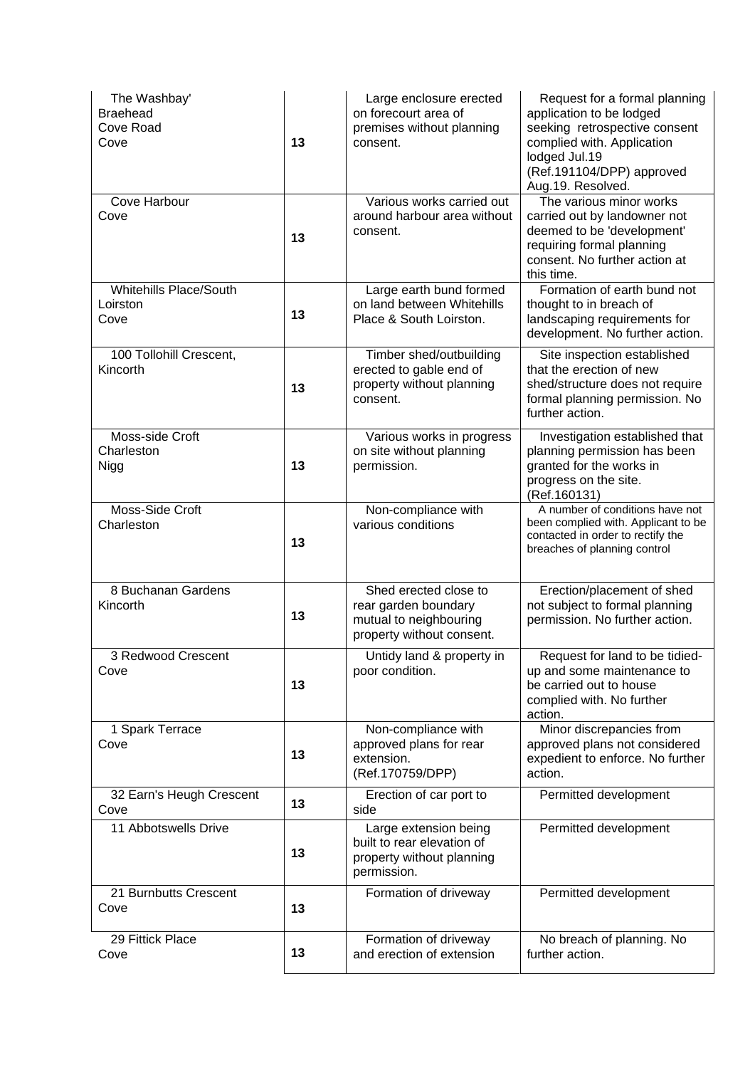| The Washbay'<br><b>Braehead</b><br>Cove Road<br>Cove | 13 | Large enclosure erected<br>on forecourt area of<br>premises without planning<br>consent.             | Request for a formal planning<br>application to be lodged<br>seeking retrospective consent<br>complied with. Application<br>lodged Jul.19<br>(Ref.191104/DPP) approved<br>Aug.19. Resolved. |
|------------------------------------------------------|----|------------------------------------------------------------------------------------------------------|---------------------------------------------------------------------------------------------------------------------------------------------------------------------------------------------|
| Cove Harbour<br>Cove                                 | 13 | Various works carried out<br>around harbour area without<br>consent.                                 | The various minor works<br>carried out by landowner not<br>deemed to be 'development'<br>requiring formal planning<br>consent. No further action at<br>this time.                           |
| Whitehills Place/South<br>Loirston<br>Cove           | 13 | Large earth bund formed<br>on land between Whitehills<br>Place & South Loirston.                     | Formation of earth bund not<br>thought to in breach of<br>landscaping requirements for<br>development. No further action.                                                                   |
| 100 Tollohill Crescent,<br>Kincorth                  | 13 | Timber shed/outbuilding<br>erected to gable end of<br>property without planning<br>consent.          | Site inspection established<br>that the erection of new<br>shed/structure does not require<br>formal planning permission. No<br>further action.                                             |
| Moss-side Croft<br>Charleston<br>Nigg                | 13 | Various works in progress<br>on site without planning<br>permission.                                 | Investigation established that<br>planning permission has been<br>granted for the works in<br>progress on the site.<br>(Ref.160131)                                                         |
| Moss-Side Croft<br>Charleston                        | 13 | Non-compliance with<br>various conditions                                                            | A number of conditions have not<br>been complied with. Applicant to be<br>contacted in order to rectify the<br>breaches of planning control                                                 |
| 8 Buchanan Gardens<br>Kincorth                       | 13 | Shed erected close to<br>rear garden boundary<br>mutual to neighbouring<br>property without consent. | Erection/placement of shed<br>not subject to formal planning<br>permission. No further action.                                                                                              |
| 3 Redwood Crescent<br>Cove                           | 13 | Untidy land & property in<br>poor condition.                                                         | Request for land to be tidied-<br>up and some maintenance to<br>be carried out to house<br>complied with. No further<br>action.                                                             |
| 1 Spark Terrace<br>Cove                              | 13 | Non-compliance with<br>approved plans for rear<br>extension.<br>(Ref.170759/DPP)                     | Minor discrepancies from<br>approved plans not considered<br>expedient to enforce. No further<br>action.                                                                                    |
| 32 Earn's Heugh Crescent<br>Cove                     | 13 | Erection of car port to<br>side                                                                      | Permitted development                                                                                                                                                                       |
| 11 Abbotswells Drive                                 | 13 | Large extension being<br>built to rear elevation of<br>property without planning<br>permission.      | Permitted development                                                                                                                                                                       |
| 21 Burnbutts Crescent<br>Cove                        | 13 | Formation of driveway                                                                                | Permitted development                                                                                                                                                                       |
| 29 Fittick Place<br>Cove                             | 13 | Formation of driveway<br>and erection of extension                                                   | No breach of planning. No<br>further action.                                                                                                                                                |